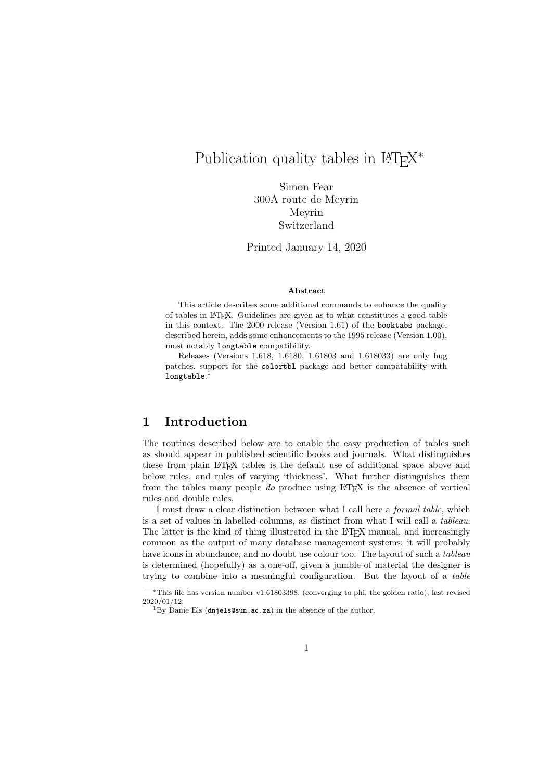# Publication quality tables in  $\mathbb{F}\mathrm{F}\mathrm{F}\mathrm{X}^*$

Simon Fear 300A route de Meyrin Meyrin Switzerland

Printed January 14, 2020

#### Abstract

This article describes some additional commands to enhance the quality of tables in LATEX. Guidelines are given as to what constitutes a good table in this context. The 2000 release (Version 1.61) of the booktabs package, described herein, adds some enhancements to the 1995 release (Version 1.00), most notably longtable compatibility.

Releases (Versions 1.618, 1.6180, 1.61803 and 1.618033) are only bug patches, support for the colortbl package and better compatability with  $\texttt{longtable}.^1$ 

# 1 Introduction

The routines described below are to enable the easy production of tables such as should appear in published scientific books and journals. What distinguishes these from plain LATEX tables is the default use of additional space above and below rules, and rules of varying 'thickness'. What further distinguishes them from the tables many people do produce using  $E\text{Tr}X$  is the absence of vertical rules and double rules.

I must draw a clear distinction between what I call here a formal table, which is a set of values in labelled columns, as distinct from what I will call a tableau. The latter is the kind of thing illustrated in the LATEX manual, and increasingly common as the output of many database management systems; it will probably have icons in abundance, and no doubt use colour too. The layout of such a *tableau* is determined (hopefully) as a one-off, given a jumble of material the designer is trying to combine into a meaningful configuration. But the layout of a table

<sup>∗</sup>This file has version number v1.61803398, (converging to phi, the golden ratio), last revised 2020/01/12.

 $1\,\text{By}$  Danie Els (dnjels@sun.ac.za) in the absence of the author.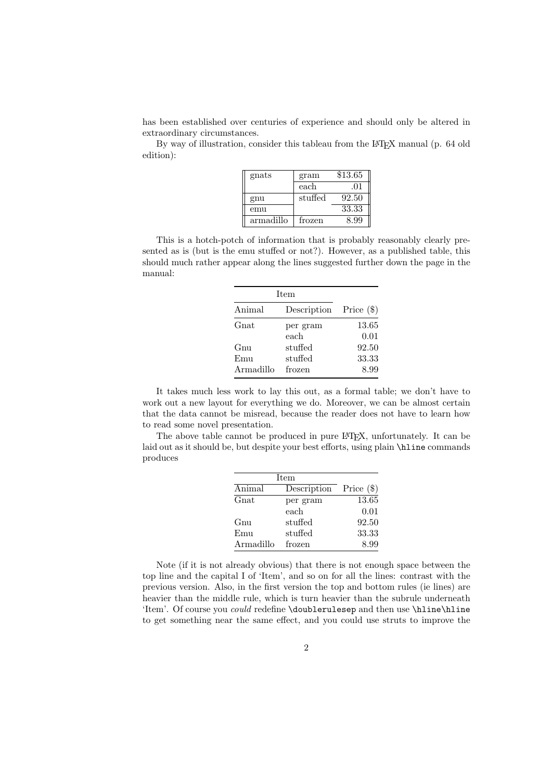has been established over centuries of experience and should only be altered in extraordinary circumstances.

By way of illustration, consider this tableau from the L<sup>AT</sup>EX manual (p. 64 old edition):

| gnats     | gram    | \$13.65 |
|-----------|---------|---------|
|           | each    | .01     |
| gnu       | stuffed | 92.50   |
| emu       |         | 33.33   |
| armadillo | frozen  | 8.99    |

This is a hotch-potch of information that is probably reasonably clearly presented as is (but is the emu stuffed or not?). However, as a published table, this should much rather appear along the lines suggested further down the page in the manual:

| <b>Item</b> |                          |       |
|-------------|--------------------------|-------|
| Animal      | Description Price $(\$)$ |       |
| Gnat        | per gram                 | 13.65 |
|             | each                     | 0.01  |
| Gnu         | stuffed                  | 92.50 |
| Emu         | stuffed                  | 33.33 |
| Armadillo   | frozen                   | 8.99  |

It takes much less work to lay this out, as a formal table; we don't have to work out a new layout for everything we do. Moreover, we can be almost certain that the data cannot be misread, because the reader does not have to learn how to read some novel presentation.

The above table cannot be produced in pure LAT<sub>EX</sub>, unfortunately. It can be laid out as it should be, but despite your best efforts, using plain \hline commands produces

|           | Item        |              |
|-----------|-------------|--------------|
| Animal    | Description | Price $(\$)$ |
| $G$ nat   | per gram    | 13.65        |
|           | each        | 0.01         |
| Gnu       | stuffed     | 92.50        |
| Emu       | stuffed     | 33.33        |
| Armadillo | frozen      | 8.99         |

Note (if it is not already obvious) that there is not enough space between the top line and the capital I of 'Item', and so on for all the lines: contrast with the previous version. Also, in the first version the top and bottom rules (ie lines) are heavier than the middle rule, which is turn heavier than the subrule underneath 'Item'. Of course you *could* redefine \doublerulesep and then use \hline\hline to get something near the same effect, and you could use struts to improve the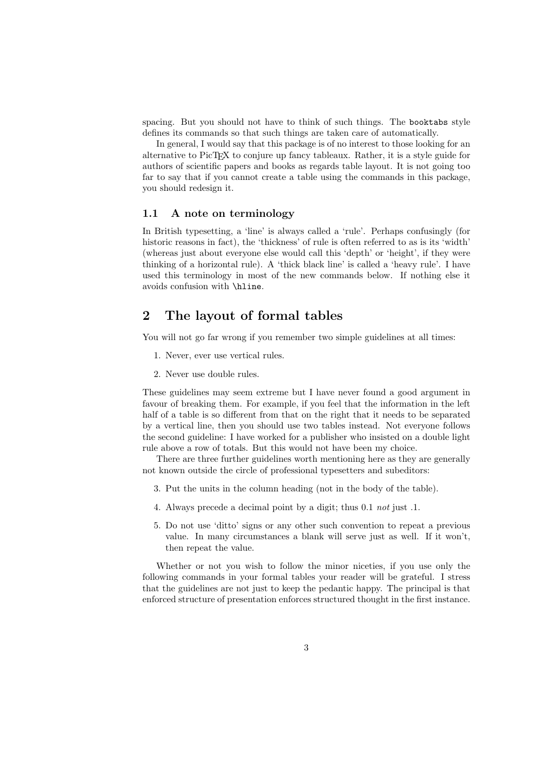spacing. But you should not have to think of such things. The booktabs style defines its commands so that such things are taken care of automatically.

In general, I would say that this package is of no interest to those looking for an alternative to PicTEX to conjure up fancy tableaux. Rather, it is a style guide for authors of scientific papers and books as regards table layout. It is not going too far to say that if you cannot create a table using the commands in this package, you should redesign it.

### 1.1 A note on terminology

In British typesetting, a 'line' is always called a 'rule'. Perhaps confusingly (for historic reasons in fact), the 'thickness' of rule is often referred to as is its 'width' (whereas just about everyone else would call this 'depth' or 'height', if they were thinking of a horizontal rule). A 'thick black line' is called a 'heavy rule'. I have used this terminology in most of the new commands below. If nothing else it avoids confusion with \hline.

## 2 The layout of formal tables

You will not go far wrong if you remember two simple guidelines at all times:

- 1. Never, ever use vertical rules.
- 2. Never use double rules.

These guidelines may seem extreme but I have never found a good argument in favour of breaking them. For example, if you feel that the information in the left half of a table is so different from that on the right that it needs to be separated by a vertical line, then you should use two tables instead. Not everyone follows the second guideline: I have worked for a publisher who insisted on a double light rule above a row of totals. But this would not have been my choice.

There are three further guidelines worth mentioning here as they are generally not known outside the circle of professional typesetters and subeditors:

- 3. Put the units in the column heading (not in the body of the table).
- 4. Always precede a decimal point by a digit; thus 0.1 not just .1.
- 5. Do not use 'ditto' signs or any other such convention to repeat a previous value. In many circumstances a blank will serve just as well. If it won't, then repeat the value.

Whether or not you wish to follow the minor niceties, if you use only the following commands in your formal tables your reader will be grateful. I stress that the guidelines are not just to keep the pedantic happy. The principal is that enforced structure of presentation enforces structured thought in the first instance.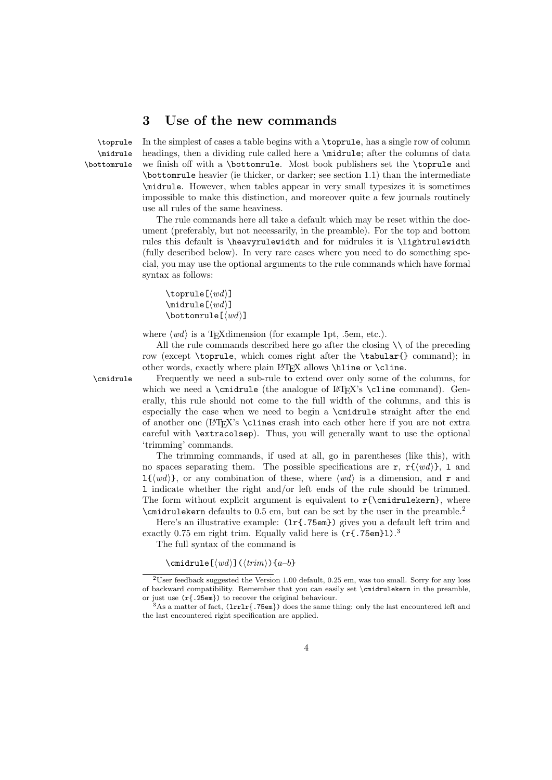# 3 Use of the new commands

\midrule \bottomrule

\toprule In the simplest of cases a table begins with a \toprule, has a single row of column headings, then a dividing rule called here a **\midrule**; after the columns of data we finish off with a \bottomrule. Most book publishers set the \toprule and \bottomrule heavier (ie thicker, or darker; see section 1.1) than the intermediate \midrule. However, when tables appear in very small typesizes it is sometimes impossible to make this distinction, and moreover quite a few journals routinely use all rules of the same heaviness.

> The rule commands here all take a default which may be reset within the document (preferably, but not necessarily, in the preamble). For the top and bottom rules this default is \heavyrulewidth and for midrules it is \lightrulewidth (fully described below). In very rare cases where you need to do something special, you may use the optional arguments to the rule commands which have formal syntax as follows:

```
\toprule[\langle wd \rangle]
\mathcal{I}(wd)]
\bottomrule[\langle wd \rangle]
```
where  $\langle wd \rangle$  is a T<sub>E</sub>Xdimension (for example 1pt, .5em, etc.).

All the rule commands described here go after the closing  $\setminus \setminus$  of the preceding row (except \toprule, which comes right after the \tabular{} command); in other words, exactly where plain LATEX allows \hline or \cline.

\cmidrule Frequently we need a sub-rule to extend over only some of the columns, for which we need a  $\mathrm{the}$  analogue of  $\mathrm{F}X$ 's  $\mathrm{cline}$  command). Generally, this rule should not come to the full width of the columns, and this is especially the case when we need to begin a \cmidrule straight after the end of another one (LATEX's \clines crash into each other here if you are not extra careful with \extracolsep). Thus, you will generally want to use the optional 'trimming' commands.

> The trimming commands, if used at all, go in parentheses (like this), with no spaces separating them. The possible specifications are r,  $\mathbf{r}\cdot\mathbf{(w)}$ , l and  $1\{\langle wd\rangle\}$ , or any combination of these, where  $\langle wd\rangle$  is a dimension, and r and l indicate whether the right and/or left ends of the rule should be trimmed. The form without explicit argument is equivalent to  $r{\cmidruleken}$ , where \cmidrulekern defaults to 0.5 em, but can be set by the user in the preamble.<sup>2</sup>

> Here's an illustrative example:  $(1r\{.75em\})$  gives you a default left trim and exactly 0.75 em right trim. Equally valid here is  $(rf.75em)1$ .

The full syntax of the command is

\cmidrule[ $\langle wd \rangle$ ]( $\langle trim \rangle$ ){a-b}

<sup>2</sup>User feedback suggested the Version 1.00 default, 0.25 em, was too small. Sorry for any loss of backward compatibility. Remember that you can easily set  $\c{emidrulekern}$  in the preamble, or just use (r{.25em}) to recover the original behaviour.

 $3As$  a matter of fact, (1rr1r{.75em}) does the same thing: only the last encountered left and the last encountered right specification are applied.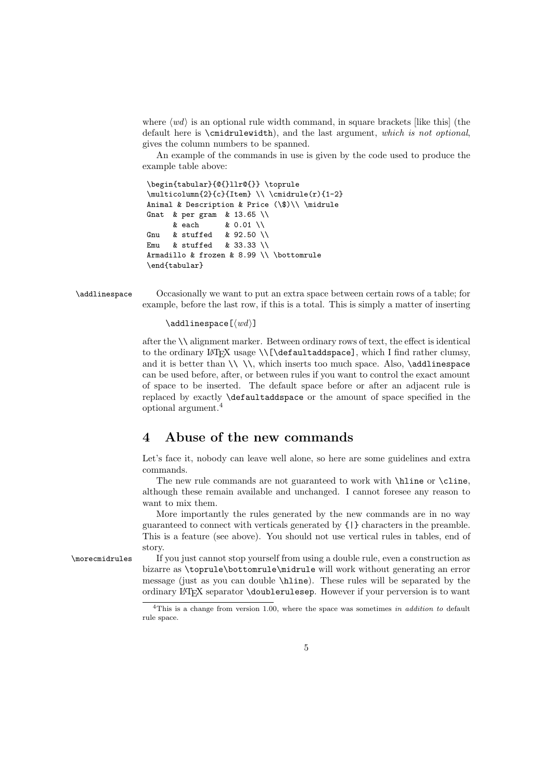where  $\langle wd \rangle$  is an optional rule width command, in square brackets [like this] (the default here is \cmidrulewidth), and the last argument, which is not optional, gives the column numbers to be spanned.

An example of the commands in use is given by the code used to produce the example table above:

```
\begin{tabular}{@{}llr@{}} \toprule
\multicolumn{2}{c}{Item} \\ \cmidrule(r){1-2}
Animal & Description & Price (\$)\\ \midrule
Gnat & per gram & 13.65 \\
     & each & 0.01 \\
Gnu & stuffed & 92.50 \\
Emu & stuffed & 33.33 \\
Armadillo & frozen & 8.99 \\ \bottomrule
\end{tabular}
```
\addlinespace Occasionally we want to put an extra space between certain rows of a table; for example, before the last row, if this is a total. This is simply a matter of inserting

 $\delta$ \addlinespace $\lceil \langle wd \rangle \rceil$ 

after the \\ alignment marker. Between ordinary rows of text, the effect is identical to the ordinary LATEX usage \\[\defaultaddspace], which I find rather clumsy, and it is better than  $\setminus \setminus \setminus$  which inserts too much space. Also,  $\addlines{display$ can be used before, after, or between rules if you want to control the exact amount of space to be inserted. The default space before or after an adjacent rule is replaced by exactly \defaultaddspace or the amount of space specified in the optional argument.<sup>4</sup>

# 4 Abuse of the new commands

Let's face it, nobody can leave well alone, so here are some guidelines and extra commands.

The new rule commands are not guaranteed to work with \hline or \cline, although these remain available and unchanged. I cannot foresee any reason to want to mix them.

More importantly the rules generated by the new commands are in no way guaranteed to connect with verticals generated by {|} characters in the preamble. This is a feature (see above). You should not use vertical rules in tables, end of story.

\morecmidrules If you just cannot stop yourself from using a double rule, even a construction as bizarre as \toprule\bottomrule\midrule will work without generating an error message (just as you can double \hline). These rules will be separated by the ordinary LATEX separator \doublerulesep. However if your perversion is to want

<sup>&</sup>lt;sup>4</sup>This is a change from version 1.00, where the space was sometimes in addition to default rule space.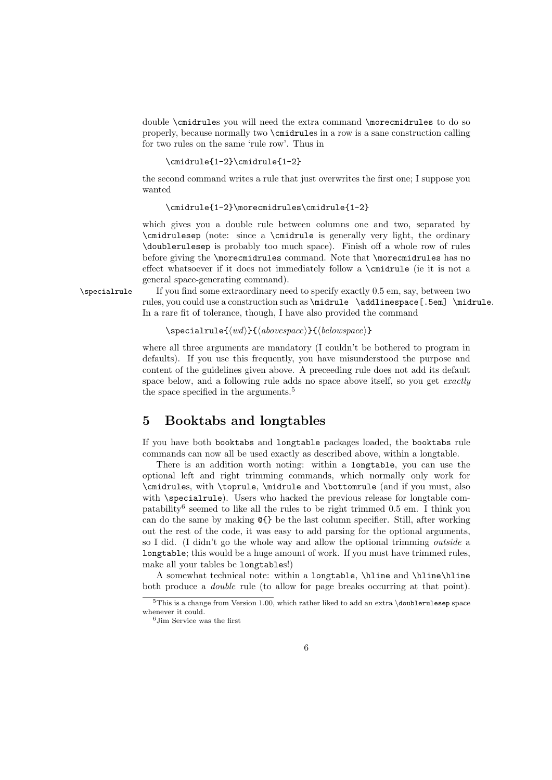double \cmidrules you will need the extra command \morecmidrules to do so properly, because normally two \cmidrules in a row is a sane construction calling for two rules on the same 'rule row'. Thus in

```
\cmidrule{1-2}\cmidrule{1-2}
```
the second command writes a rule that just overwrites the first one; I suppose you wanted

```
\cmidrule{1-2}\morecmidrules\cmidrule{1-2}
```
which gives you a double rule between columns one and two, separated by \cmidrulesep (note: since a \cmidrule is generally very light, the ordinary \doublerulesep is probably too much space). Finish off a whole row of rules before giving the \morecmidrules command. Note that \morecmidrules has no effect whatsoever if it does not immediately follow a \cmidrule (ie it is not a general space-generating command).

\specialrule If you find some extraordinary need to specify exactly 0.5 em, say, between two rules, you could use a construction such as \midrule \addlinespace[.5em] \midrule. In a rare fit of tolerance, though, I have also provided the command

```
\searrowspecialrule\{wd\}{\{above space\}}{\{below space\}}
```
where all three arguments are mandatory (I couldn't be bothered to program in defaults). If you use this frequently, you have misunderstood the purpose and content of the guidelines given above. A preceeding rule does not add its default space below, and a following rule adds no space above itself, so you get *exactly* the space specified in the arguments.<sup>5</sup>

# 5 Booktabs and longtables

If you have both booktabs and longtable packages loaded, the booktabs rule commands can now all be used exactly as described above, within a longtable.

There is an addition worth noting: within a longtable, you can use the optional left and right trimming commands, which normally only work for \cmidrules, with \toprule, \midrule and \bottomrule (and if you must, also with \specialrule). Users who hacked the previous release for longtable compatability<sup>6</sup> seemed to like all the rules to be right trimmed 0.5 em. I think you can do the same by making @{} be the last column specifier. Still, after working out the rest of the code, it was easy to add parsing for the optional arguments, so I did. (I didn't go the whole way and allow the optional trimming outside a longtable; this would be a huge amount of work. If you must have trimmed rules, make all your tables be longtables!)

A somewhat technical note: within a longtable, \hline and \hline\hline both produce a double rule (to allow for page breaks occurring at that point).

 $5$ This is a change from Version 1.00, which rather liked to add an extra \doublerulesep space whenever it could.

<sup>6</sup>Jim Service was the first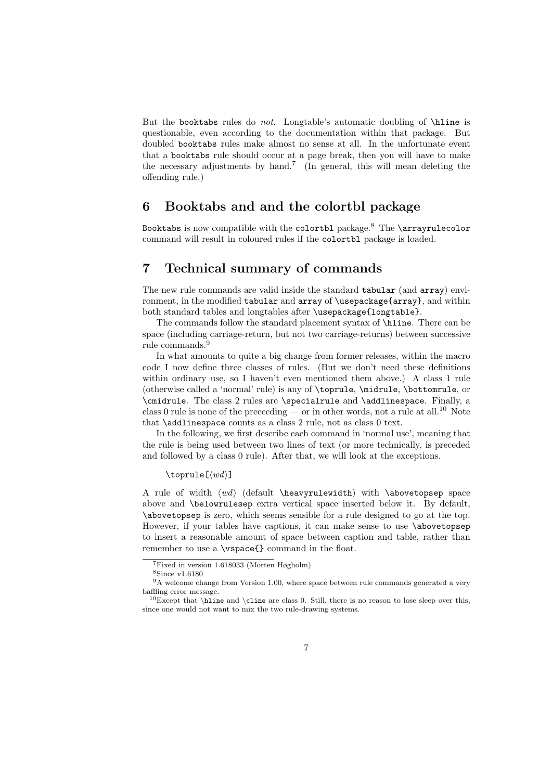But the booktabs rules do *not*. Longtable's automatic doubling of **\hline** is questionable, even according to the documentation within that package. But doubled booktabs rules make almost no sense at all. In the unfortunate event that a booktabs rule should occur at a page break, then you will have to make the necessary adjustments by hand.<sup>7</sup> (In general, this will mean deleting the offending rule.)

# 6 Booktabs and and the colortbl package

Booktabs is now compatible with the colortbl package.<sup>8</sup> The \arrayrulecolor command will result in coloured rules if the colortbl package is loaded.

# 7 Technical summary of commands

The new rule commands are valid inside the standard tabular (and array) environment, in the modified tabular and array of \usepackage{array}, and within both standard tables and longtables after \usepackage{longtable}.

The commands follow the standard placement syntax of \hline. There can be space (including carriage-return, but not two carriage-returns) between successive rule commands.<sup>9</sup>

In what amounts to quite a big change from former releases, within the macro code I now define three classes of rules. (But we don't need these definitions within ordinary use, so I haven't even mentioned them above.) A class 1 rule (otherwise called a 'normal' rule) is any of \toprule, \midrule, \bottomrule, or \cmidrule. The class 2 rules are \specialrule and \addlinespace. Finally, a class 0 rule is none of the preceeding — or in other words, not a rule at all.<sup>10</sup> Note that \addlinespace counts as a class 2 rule, not as class 0 text.

In the following, we first describe each command in 'normal use', meaning that the rule is being used between two lines of text (or more technically, is preceded and followed by a class 0 rule). After that, we will look at the exceptions.

 $\to$ 

A rule of width  $\langle wd \rangle$  (default \heavyrulewidth) with \abovetopsep space above and \belowrulesep extra vertical space inserted below it. By default, \abovetopsep is zero, which seems sensible for a rule designed to go at the top. However, if your tables have captions, it can make sense to use \abovetopsep to insert a reasonable amount of space between caption and table, rather than remember to use a \vspace{} command in the float.

<sup>7</sup>Fixed in version 1.618033 (Morten Høgholm)

<sup>8</sup>Since v1.6180

 $9A$  welcome change from Version 1.00, where space between rule commands generated a very baffling error message.

 $10$ Except that \hline and \cline are class 0. Still, there is no reason to lose sleep over this, since one would not want to mix the two rule-drawing systems.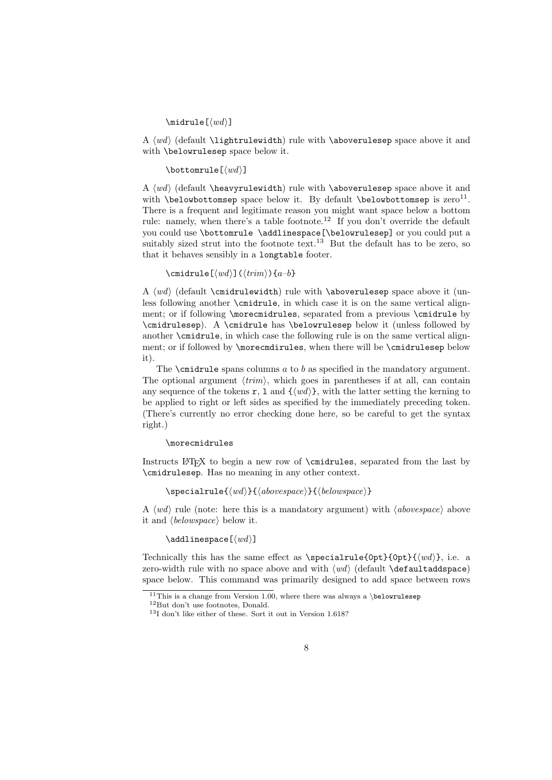$\mathcal{I}(wd)$ ]

A  $\langle w d \rangle$  (default \lightrulewidth) rule with \aboverulesep space above it and with \belowrulesep space below it.

#### \bottomrule[ $\langle wd \rangle$ ]

A  $\langle w d \rangle$  (default \heavyrulewidth) rule with \aboverulesep space above it and with \belowbottomsep space below it. By default \belowbottomsep is  $zero^{11}$ . There is a frequent and legitimate reason you might want space below a bottom rule: namely, when there's a table footnote.<sup>12</sup> If you don't override the default you could use \bottomrule \addlinespace[\belowrulesep] or you could put a suitably sized strut into the footnote text.<sup>13</sup> But the default has to be zero, so that it behaves sensibly in a longtable footer.

\cmidrule[ $\langle wd \rangle$ ]( $\langle trim \rangle$ }{a–b}

A  $\langle w \rangle$  (default \cmidrulewidth) rule with \aboverulesep space above it (unless following another \cmidrule, in which case it is on the same vertical alignment; or if following \morecmidrules, separated from a previous \cmidrule by \cmidrulesep). A \cmidrule has \belowrulesep below it (unless followed by another \cmidrule, in which case the following rule is on the same vertical alignment; or if followed by **\morecmdirules**, when there will be **\cmidrulesep** below it).

The  $\cosh$  as specified in the mandatory argument. The optional argument  $\langle trim \rangle$ , which goes in parentheses if at all, can contain any sequence of the tokens r, 1 and  $\{\langle wd \rangle\}$ , with the latter setting the kerning to be applied to right or left sides as specified by the immediately preceding token. (There's currently no error checking done here, so be careful to get the syntax right.)

#### \morecmidrules

Instructs LATEX to begin a new row of \cmidrules, separated from the last by \cmidrulesep. Has no meaning in any other context.

 $\searrow$ specialrule $\{wd\}$ { $\{abovespace\}$ }{ $\{belowspace\}$ }

A  $\langle wd \rangle$  rule (note: here this is a mandatory argument) with  $\langle above space \rangle$  above it and  $\langle \text{below space} \rangle$  below it.

 $\addlines{label[ $\langle wdd\rangle]$$ 

Technically this has the same effect as \specialrule{0pt}{0pt}{\left{\mudd{d}}}, i.e. a zero-width rule with no space above and with  $\langle wd \rangle$  (default \defaultaddspace) space below. This command was primarily designed to add space between rows

<sup>&</sup>lt;sup>11</sup>This is a change from Version 1.00, where there was always a \belowrulesep

<sup>12</sup>But don't use footnotes, Donald.

<sup>13</sup>I don't like either of these. Sort it out in Version 1.618?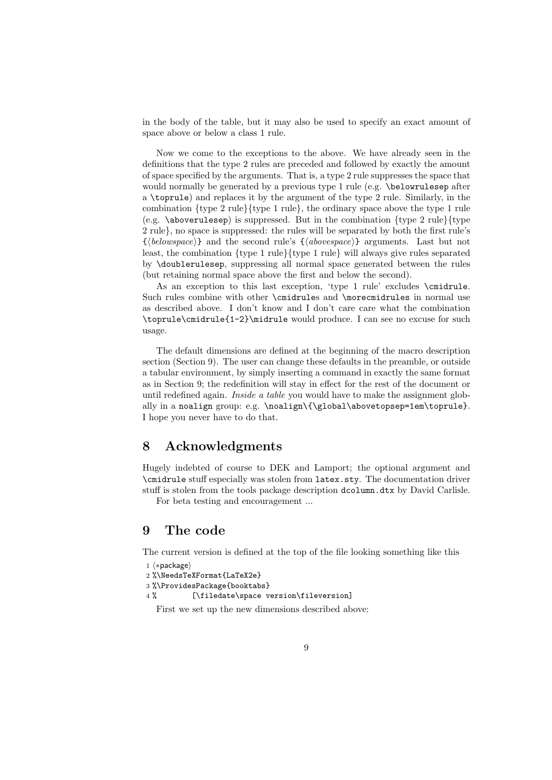in the body of the table, but it may also be used to specify an exact amount of space above or below a class 1 rule.

Now we come to the exceptions to the above. We have already seen in the definitions that the type 2 rules are preceded and followed by exactly the amount of space specified by the arguments. That is, a type 2 rule suppresses the space that would normally be generated by a previous type 1 rule (e.g. \belowrulesep after a \toprule) and replaces it by the argument of the type 2 rule. Similarly, in the combination  $\{type\ 2\ rule\}$ {type 1 rule}, the ordinary space above the type 1 rule (e.g.  $\langle$  aboverulesep) is suppressed. But in the combination  $\{\langle \rangle\}$  rule  $\{\langle \rangle\}$ 2 rule}, no space is suppressed: the rules will be separated by both the first rule's  $\{\langle belowspace\rangle\}$  and the second rule's  $\{\langle abovespace\rangle\}$  arguments. Last but not least, the combination {type 1 rule}{type 1 rule} will always give rules separated by \doublerulesep, suppressing all normal space generated between the rules (but retaining normal space above the first and below the second).

As an exception to this last exception, 'type 1 rule' excludes \cmidrule. Such rules combine with other \cmidrules and \morecmidrules in normal use as described above. I don't know and I don't care care what the combination \toprule\cmidrule{1-2}\midrule would produce. I can see no excuse for such usage.

The default dimensions are defined at the beginning of the macro description section (Section 9). The user can change these defaults in the preamble, or outside a tabular environment, by simply inserting a command in exactly the same format as in Section 9; the redefinition will stay in effect for the rest of the document or until redefined again. *Inside a table* you would have to make the assignment globally in a noalign group: e.g. \noalign\{\global\abovetopsep=1em\toprule}. I hope you never have to do that.

# 8 Acknowledgments

Hugely indebted of course to DEK and Lamport; the optional argument and \cmidrule stuff especially was stolen from latex.sty. The documentation driver stuff is stolen from the tools package description dcolumn.dtx by David Carlisle.

For beta testing and encouragement ...

# 9 The code

The current version is defined at the top of the file looking something like this

```
1 \langle *package \rangle
```

```
2 %\NeedsTeXFormat{LaTeX2e}
```

```
3 %\ProvidesPackage{booktabs}
```

```
4 % [\filedate\space version\fileversion]
```
First we set up the new dimensions described above: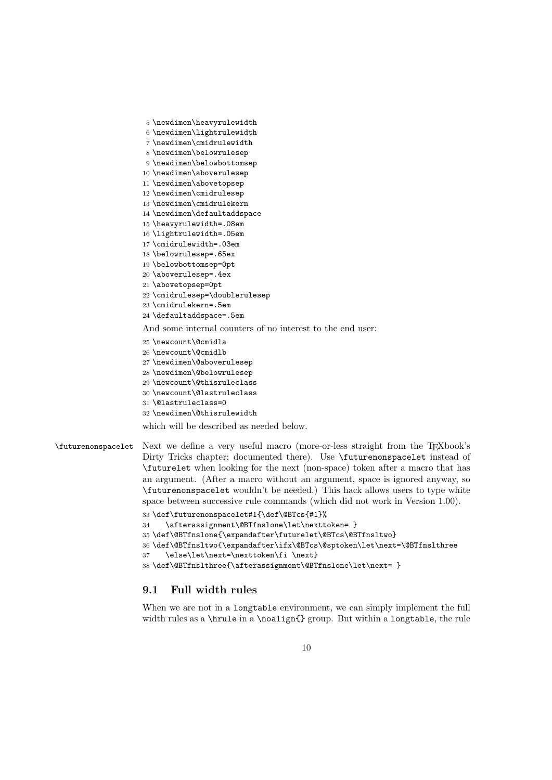```
5 \newdimen\heavyrulewidth
                     6 \newdimen\lightrulewidth
                     7 \newdimen\cmidrulewidth
                     8 \newdimen\belowrulesep
                     9 \newdimen\belowbottomsep
                    10 \newdimen\aboverulesep
                    11 \newdimen\abovetopsep
                    12 \newdimen\cmidrulesep
                    13 \newdimen\cmidrulekern
                    14 \newdimen\defaultaddspace
                    15 \heavyrulewidth=.08em
                    16 \lightrulewidth=.05em
                    17 \cmidrulewidth=.03em
                    18 \belowrulesep=.65ex
                    19 \belowbottomsep=0pt
                    20 \aboverulesep=.4ex
                    21 \abovetopsep=0pt
                    22 \cmidrulesep=\doublerulesep
                    23 \cmidrulekern=.5em
                    24 \defaultaddspace=.5em
                    And some internal counters of no interest to the end user:
                    25 \newcount\@cmidla
                    26 \newcount\@cmidlb
                    27 \newdimen\@aboverulesep
                    28 \newdimen\@belowrulesep
                    29 \newcount\@thisruleclass
                    30 \newcount\@lastruleclass
                    31 \@lastruleclass=0
                    32 \newdimen\@thisrulewidth
                    which will be described as needed below.
\futurenonspacelet Next we define a very useful macro (more-or-less straight from the TEXbook's
                    Dirty Tricks chapter; documented there). Use \futurenonspacelet instead of
                    \futurelet when looking for the next (non-space) token after a macro that has
                    an argument. (After a macro without an argument, space is ignored anyway, so
                    \futurenonspacelet wouldn't be needed.) This hack allows users to type white
                    space between successive rule commands (which did not work in Version 1.00).
                    33 \def\futurenonspacelet#1{\def\@BTcs{#1}%
                    34 \afterassignment\@BTfnslone\let\nexttoken= }
                    35 \def\@BTfnslone{\expandafter\futurelet\@BTcs\@BTfnsltwo}
                    36 \def\@BTfnsltwo{\expandafter\ifx\@BTcs\@sptoken\let\next=\@BTfnslthree
                    37 \else\let\next=\nexttoken\fi \next}
                    38 \def\@BTfnslthree{\afterassignment\@BTfnslone\let\next= }
```
### 9.1 Full width rules

When we are not in a longtable environment, we can simply implement the full width rules as a \hrule in a \noalign{} group. But within a longtable, the rule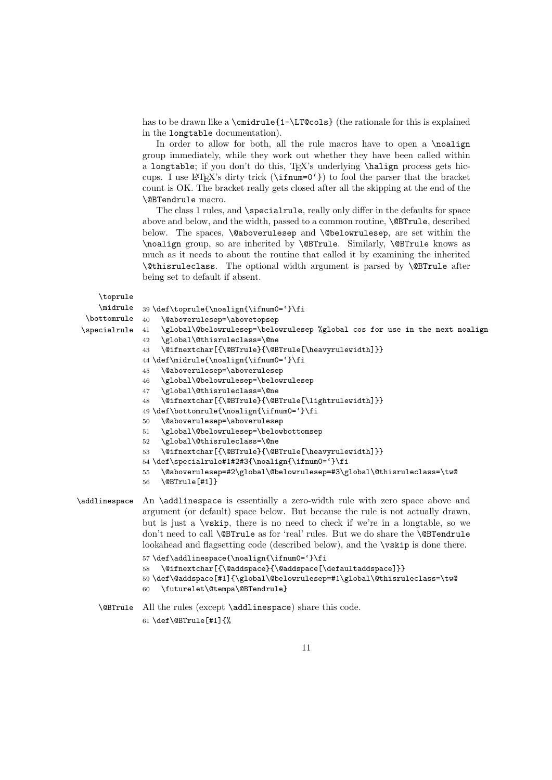has to be drawn like a \cmidrule{1-\LT@cols} (the rationale for this is explained in the longtable documentation).

In order to allow for both, all the rule macros have to open a \noalign group immediately, while they work out whether they have been called within a longtable; if you don't do this, TEX's underlying \halign process gets hiccups. I use LATEX's dirty trick (\ifnum=0'}) to fool the parser that the bracket count is OK. The bracket really gets closed after all the skipping at the end of the \@BTendrule macro.

The class 1 rules, and **\specialrule**, really only differ in the defaults for space above and below, and the width, passed to a common routine, \@BTrule, described below. The spaces, \@aboverulesep and \@belowrulesep, are set within the \noalign group, so are inherited by \@BTrule. Similarly, \@BTrule knows as much as it needs to about the routine that called it by examining the inherited \@thisruleclass. The optional width argument is parsed by \@BTrule after being set to default if absent.

\toprule

```
\midrule 39 \def\toprule{\noalign{\ifnum0='}\fi
 \lambdabottomrule 40\specialrule 41
                   40 \@aboverulesep=\abovetopsep
                   \global\@belowrulesep=\belowrulesep %global cos for use in the next noalign
               42 \global\@thisruleclass=\@ne
               43 \@ifnextchar[{\@BTrule}{\@BTrule[\heavyrulewidth]}}
               44 \def\midrule{\noalign{\ifnum0='}\fi
               45 \@aboverulesep=\aboverulesep
               46 \global\@belowrulesep=\belowrulesep
               47 \global\@thisruleclass=\@ne
               48 \@ifnextchar[{\@BTrule}{\@BTrule[\lightrulewidth]}}
               49 \def\bottomrule{\noalign{\ifnum0='}\fi
               50 \@aboverulesep=\aboverulesep
               51 \global\@belowrulesep=\belowbottomsep
               52 \global\@thisruleclass=\@ne
               53 \@ifnextchar[{\@BTrule}{\@BTrule[\heavyrulewidth]}}
               54 \def\specialrule#1#2#3{\noalign{\ifnum0='}\fi
               55 \@aboverulesep=#2\global\@belowrulesep=#3\global\@thisruleclass=\tw@
               56 \@BTrule[#1]}
\addlinespace An \addlinespace is essentially a zero-width rule with zero space above and
               argument (or default) space below. But because the rule is not actually drawn,
               but is just a \vskip, there is no need to check if we're in a longtable, so we
               don't need to call \@BTrule as for 'real' rules. But we do share the \@BTendrule
               lookahead and flagsetting code (described below), and the \vskip is done there.
               57 \def\addlinespace{\noalign{\ifnum0='}\fi
               58 \@ifnextchar[{\@addspace}{\@addspace[\defaultaddspace]}}
               59 \def\@addspace[#1]{\global\@belowrulesep=#1\global\@thisruleclass=\tw@
               60 \futurelet\@tempa\@BTendrule}
```
\@BTrule All the rules (except \addlinespace) share this code. 61 \def\@BTrule[#1]{%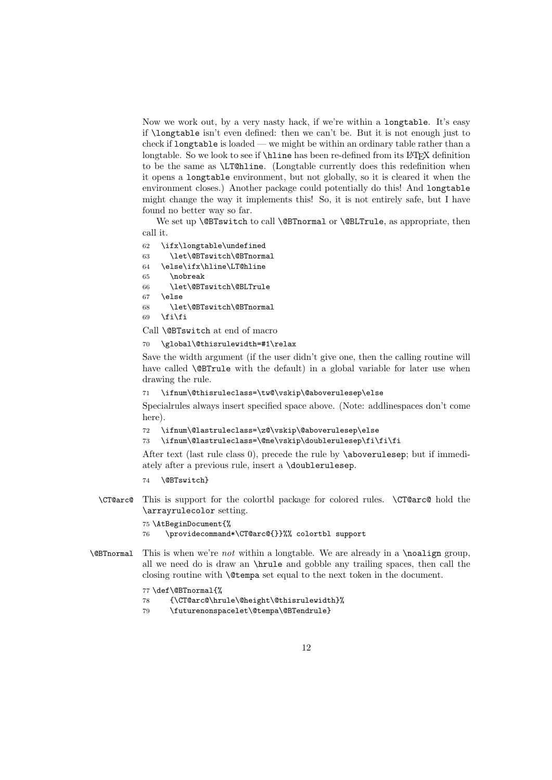Now we work out, by a very nasty hack, if we're within a longtable. It's easy if \longtable isn't even defined: then we can't be. But it is not enough just to check if longtable is loaded — we might be within an ordinary table rather than a longtable. So we look to see if  $\hbar$  in the has been re-defined from its LAT<sub>E</sub>X definition to be the same as \LT@hline. (Longtable currently does this redefinition when it opens a longtable environment, but not globally, so it is cleared it when the environment closes.) Another package could potentially do this! And longtable might change the way it implements this! So, it is not entirely safe, but I have found no better way so far.

We set up **\@BTswitch** to call **\@BTnormal** or **\@BLTrule**, as appropriate, then call it.

```
62 \ifx\longtable\undefined
63 \let\@BTswitch\@BTnormal
64 \else\ifx\hline\LT@hline
65 \nobreak
66 \let\@BTswitch\@BLTrule
67 \else
68 \let\@BTswitch\@BTnormal
69 \ifmmode \text{if} \else 69 \: \ifmmode \text{if} \else 69 \: \ifmmode \text{if} \else filter 3 \: \fi
```
Call \@BTswitch at end of macro

70 \global\@thisrulewidth=#1\relax

Save the width argument (if the user didn't give one, then the calling routine will have called **\@BTrule** with the default) in a global variable for later use when drawing the rule.

71 \ifnum\@thisruleclass=\tw@\vskip\@aboverulesep\else

Specialrules always insert specified space above. (Note: addlinespaces don't come here).

- 72 \ifnum\@lastruleclass=\z@\vskip\@aboverulesep\else
- 73 \ifnum\@lastruleclass=\@ne\vskip\doublerulesep\fi\fi\fi

After text (last rule class 0), precede the rule by \aboverulesep; but if immediately after a previous rule, insert a \doublerulesep.

- 74 \@BTswitch}
- \CT@arc@ This is support for the colortbl package for colored rules. \CT@arc@ hold the \arrayrulecolor setting.

75 \AtBeginDocument{% 76 \providecommand\*\CT@arc@{}}%% colortbl support

 $\Diamond$ BTnormal This is when we're *not* within a longtable. We are already in a  $\angle$ noalign group, all we need do is draw an \hrule and gobble any trailing spaces, then call the closing routine with \@tempa set equal to the next token in the document.

#### 77 \def\@BTnormal{%

- 78 {\CT@arc@\hrule\@height\@thisrulewidth}%
- 79 \futurenonspacelet\@tempa\@BTendrule}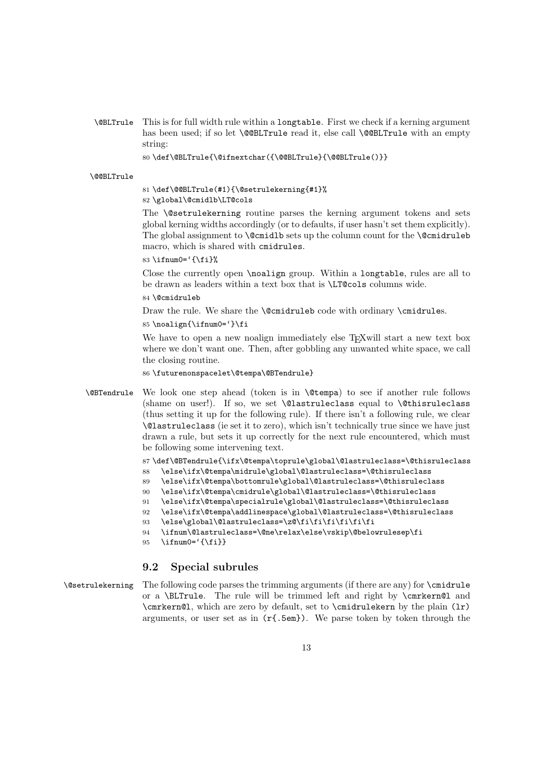\@BLTrule This is for full width rule within a longtable. First we check if a kerning argument has been used; if so let **\@@BLTrule** read it, else call **\@@BLTrule** with an empty string:

80 \def\@BLTrule{\@ifnextchar({\@@BLTrule}{\@@BLTrule()}}

#### \@@BLTrule

#### 81 \def\@@BLTrule(#1){\@setrulekerning{#1}% 82 \global\@cmidlb\LT@cols

The \@setrulekerning routine parses the kerning argument tokens and sets global kerning widths accordingly (or to defaults, if user hasn't set them explicitly). The global assignment to  $\text{Comid}$  sets up the column count for the  $\text{Comid}$  ruleb macro, which is shared with cmidrules.

83 \ifnum0='{\fi}%

Close the currently open \noalign group. Within a longtable, rules are all to be drawn as leaders within a text box that is \LT@cols columns wide.

84 \@cmidruleb

Draw the rule. We share the **\@cmidruleb** code with ordinary **\cmidrules**.

85 \noalign{\ifnum0='}\fi

We have to open a new noalign immediately else T<sub>E</sub>Xwill start a new text box where we don't want one. Then, after gobbling any unwanted white space, we call the closing routine.

86 \futurenonspacelet\@tempa\@BTendrule}

\@BTendrule We look one step ahead (token is in \@tempa) to see if another rule follows (shame on user!). If so, we set \@lastruleclass equal to \@thisruleclass (thus setting it up for the following rule). If there isn't a following rule, we clear \@lastruleclass (ie set it to zero), which isn't technically true since we have just drawn a rule, but sets it up correctly for the next rule encountered, which must be following some intervening text.

87 \def\@BTendrule{\ifx\@tempa\toprule\global\@lastruleclass=\@thisruleclass

- 88 \else\ifx\@tempa\midrule\global\@lastruleclass=\@thisruleclass
- 89 \else\ifx\@tempa\bottomrule\global\@lastruleclass=\@thisruleclass
- 90 \else\ifx\@tempa\cmidrule\global\@lastruleclass=\@thisruleclass
- 91 \else\ifx\@tempa\specialrule\global\@lastruleclass=\@thisruleclass
- 92 \else\ifx\@tempa\addlinespace\global\@lastruleclass=\@thisruleclass
- 93 \else\global\@lastruleclass=\z@\fi\fi\fi\fi\fi\fi
- 94 \ifnum\@lastruleclass=\@ne\relax\else\vskip\@belowrulesep\fi
- 95  $\infty$  = '{\fi}}

### 9.2 Special subrules

 $\Diamond$ setrulekerning The following code parses the trimming arguments (if there are any) for  $\Diamond$ cmidrule or a \BLTrule. The rule will be trimmed left and right by \cmrkern@l and \cmrkern@l, which are zero by default, set to \cmidrulekern by the plain (lr) arguments, or user set as in  $(r\text{\{.5em}})$ . We parse token by token through the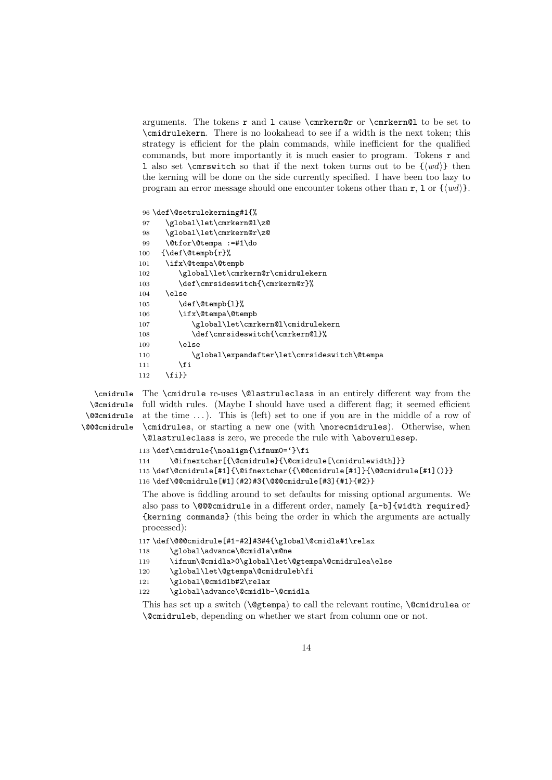arguments. The tokens  $r$  and  $l$  cause  $\c{mrkern@r}$  or  $\c{mrkern@l}$  to be set to \cmidrulekern. There is no lookahead to see if a width is the next token; this strategy is efficient for the plain commands, while inefficient for the qualified commands, but more importantly it is much easier to program. Tokens  $\mathbf r$  and 1 also set \cmrswitch so that if the next token turns out to be  $\{w\}\$  then the kerning will be done on the side currently specified. I have been too lazy to program an error message should one encounter tokens other than  $r$ , 1 or  $\{\langle wd \rangle\}$ .

```
96 \def\@setrulekerning#1{%
97 \global\let\cmrkern@l\z@
98 \global\let\cmrkern@r\z@
99 \@tfor\@tempa :=#1\do
100 {\def\@tempb{r}%
101 \ifx\@tempa\@tempb
102 \global\let\cmrkern@r\cmidrulekern
103 \def\cmrsideswitch{\cmrkern@r}%
104 \else
105 \def\@tempb{1}%
106 \ifx\@tempa\@tempb
107 \global\let\cmrkern@l\cmidrulekern
108 \def\cmrsideswitch{\cmrkern@l}%
109 \else
110 \global\expandafter\let\cmrsideswitch\@tempa
111 \qquad \qquad112 \fi}}
```
\@cmidrule \@@cmidrule \@@@cmidrule

\cmidrule The \cmidrule re-uses \@lastruleclass in an entirely different way from the full width rules. (Maybe I should have used a different flag; it seemed efficient at the time . . . ). This is (left) set to one if you are in the middle of a row of \cmidrules, or starting a new one (with \morecmidrules). Otherwise, when \@lastruleclass is zero, we precede the rule with \aboverulesep.

```
113 \def\cmidrule{\noalign{\ifnum0='}\fi
114 \@ifnextchar[{\@cmidrule}{\@cmidrule[\cmidrulewidth]}}
115 \def\@cmidrule[#1]{\@ifnextchar({\@@cmidrule[#1]}{\@@cmidrule[#1]()}}
116 \def\@@cmidrule[#1](#2)#3{\@@@cmidrule[#3]{#1}{#2}}
```
The above is fiddling around to set defaults for missing optional arguments. We also pass to **\@@@cmidrule** in a different order, namely [a-b]{width required} {kerning commands} (this being the order in which the arguments are actually processed):

```
117 \def\@@@cmidrule[#1-#2]#3#4{\global\@cmidla#1\relax
```

```
118 \global\advance\@cmidla\m@ne
119 \ifnum\@cmidla>0\global\let\@gtempa\@cmidrulea\else
```

```
120 \global\let\@gtempa\@cmidruleb\fi
```

```
121 \global\@cmidlb#2\relax
```

```
122 \global\advance\@cmidlb-\@cmidla
```
This has set up a switch ( $\Diamond$ gtempa) to call the relevant routine,  $\Diamond$ cmidrulea or \@cmidruleb, depending on whether we start from column one or not.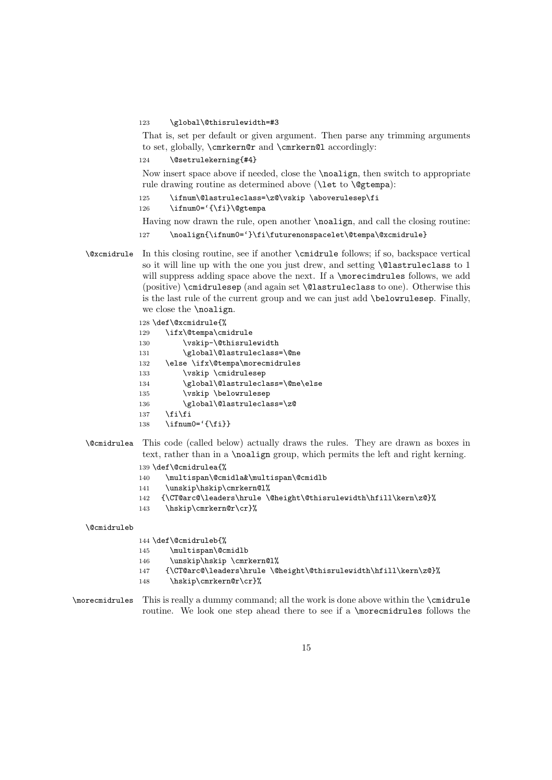#### 123 \global\@thisrulewidth=#3

That is, set per default or given argument. Then parse any trimming arguments to set, globally, \cmrkern@r and \cmrkern@l accordingly:

124 \@setrulekerning{#4}

Now insert space above if needed, close the \noalign, then switch to appropriate rule drawing routine as determined above (\let to \@gtempa):

```
125 \ifnum\@lastruleclass=\z@\vskip \aboverulesep\fi
126 \ifnum0='{\fi}\@gtempa
```
Having now drawn the rule, open another \noalign, and call the closing routine:

```
127 \noalign{\ifnum0='}\fi\futurenonspacelet\@tempa\@xcmidrule}
```
- \@xcmidrule In this closing routine, see if another \cmidrule follows; if so, backspace vertical so it will line up with the one you just drew, and setting \@lastruleclass to 1 will suppress adding space above the next. If a **\morecimdrules** follows, we add (positive) \cmidrulesep (and again set \@lastruleclass to one). Otherwise this is the last rule of the current group and we can just add \belowrulesep. Finally, we close the \noalign.
	- 128 \def\@xcmidrule{% 129 \ifx\@tempa\cmidrule 130 \vskip-\@thisrulewidth 131 \global\@lastruleclass=\@ne 132 \else \ifx\@tempa\morecmidrules 133 \vskip \cmidrulesep 134 \global\@lastruleclass=\@ne\else 135 \vskip \belowrulesep 136 \global\@lastruleclass=\z@  $137$  \fi\fi 138  $\iint num0= ' {\if1} \}$
- \@cmidrulea This code (called below) actually draws the rules. They are drawn as boxes in text, rather than in a \noalign group, which permits the left and right kerning.
	- 139 \def\@cmidrulea{%
	- 140 \multispan\@cmidla&\multispan\@cmidlb
	- 141 \unskip\hskip\cmrkern@l%
	- 142 {\CT@arc@\leaders\hrule \@height\@thisrulewidth\hfill\kern\z@}%
	- 143 \hskip\cmrkern@r\cr}%

#### \@cmidruleb

144 \def\@cmidruleb{%

- 145 \multispan\@cmidlb
- 146 \unskip\hskip \cmrkern@l%
- 147 {\CT@arc@\leaders\hrule \@height\@thisrulewidth\hfill\kern\z@}%
- 148 \hskip\cmrkern@r\cr}%
- \morecmidrules This is really a dummy command; all the work is done above within the \cmidrule routine. We look one step ahead there to see if a \morecmidrules follows the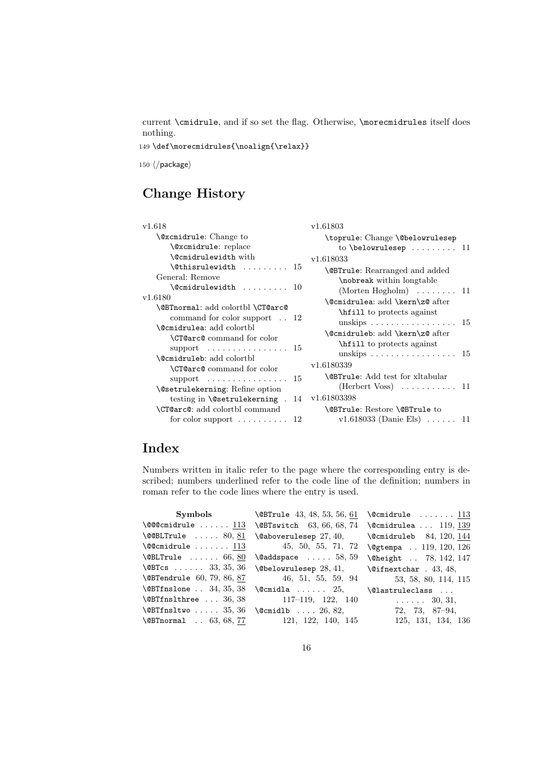current \cmidrule, and if so set the flag. Otherwise, \morecmidrules itself does nothing.

149 \def\morecmidrules{\noalign{\relax}}

150  $\langle$ /package $\rangle$ 

# Change History

| v1.618                                                                                                                    | v1.61803                                                                                              |
|---------------------------------------------------------------------------------------------------------------------------|-------------------------------------------------------------------------------------------------------|
| <b>\@xcmidrule:</b> Change to                                                                                             | \toprule: Change \@belowrulesep                                                                       |
| \@xcmidrule: replace                                                                                                      | to \belowrulesep $11$                                                                                 |
| <b>\@cmidrulewidth</b> with                                                                                               | v1.618033                                                                                             |
| $\text{[Cohisrulewidth]}$ 15                                                                                              | <b>\@BTrule:</b> Rearranged and added                                                                 |
| General: Remove                                                                                                           | \nobreak within longtable                                                                             |
| $\{\mathcal{C}$ cmidrulewidth  10                                                                                         | (Morten Høgholm) $\ldots \ldots \ldots$ 11                                                            |
| v1.6180                                                                                                                   | \@cmidrulea: add \kern\z@ after                                                                       |
| \@BTnorma1: add colortbl \CT@arc@                                                                                         | hill to protects against                                                                              |
| command for color support $\ldots$ 12                                                                                     | unskips 15                                                                                            |
| <b>\@cmidrulea:</b> add colortbl                                                                                          | \@cmidruleb: add \kern\z@ after                                                                       |
| <b>\CT@arc@</b> command for color                                                                                         | \hitestill to protects against                                                                        |
| support $\dots\dots\dots\dots\dots\dots 15$<br><b>\@cmidruleb:</b> add colortbl<br><b>\CT@arc@</b> command for color      | unskips 15<br>v1.6180339                                                                              |
| support $\ldots \ldots \ldots \ldots 15$<br><b>\@setrulekerning: Refine option</b><br>testing in \@setrulekerning .<br>14 | <b>\@BTrule:</b> Add test for xltabular<br>(Herbert Voss) $\dots \dots \dots \dots 11$<br>v1.61803398 |
| <b>\CT@arc@</b> : add colortbl command                                                                                    | \@BTrule: Restore \@BTrule to                                                                         |
| for color support $\dots \dots \dots 12$                                                                                  | v1.618033 (Danie Els) $\ldots$ 11                                                                     |

# Index

Numbers written in italic refer to the page where the corresponding entry is described; numbers underlined refer to the code line of the definition; numbers in roman refer to the code lines where the entry is used.

|                                   | <b>Symbols</b> \\ $\Omega$ \ $\Omega$ \ $\Omega$ \ $\Omega$ 3, 48, 53, 56, 61 | $\{\mathcal{C}$ cmidrule $113$      |
|-----------------------------------|-------------------------------------------------------------------------------|-------------------------------------|
| <b>\@@@cmidrule</b> $113$         | \@BTswitch 63, 66, 68, 74                                                     | $\{\mathcal{C}$ cmidrulea  119, 139 |
| $\text{Q@BLTrule} \dots 80, 81$   | $\texttt{\textbackslash}$ Caboverulesep $27,40,$                              | $\Gamma$ 84, 120, 144               |
| $\sqrt{$ Comidrule $113$          | 45, 50, 55, 71, 72                                                            | \@gtempa  119, 120, 126             |
| $\Delta 66, 80$                   | $\lambda$ addspace $\ldots$ 58, 59                                            | \@height  78, 142, 147              |
| $\textsf{QBTcs} \dots 33, 35, 36$ | $\text{Webclowrulesep } 28, 41,$                                              | $\text{Qifnextchar}$ . 43, 48,      |
| <b>\@BTendrule</b> 60, 79, 86, 87 | 46, 51, 55, 59, 94                                                            | 53, 58, 80, 114, 115                |
| $\Omega$ . 34, 35, 38             | $\text{Qcmidla} \dots \dots 25,$                                              | \@lastruleclass                     |
| $\Omega$ 36, 38                   | $117-119$ , 122, 140                                                          | $\ldots$ 30, 31,                    |
| $\Omega$ 35, 36                   | $\{\mathcal{C}\}$ $26, 82,$                                                   | 72, 73, 87-94,                      |
| \@BTnormal  63, 68, 77            | 121, 122, 140, 145                                                            | 125, 131, 134, 136                  |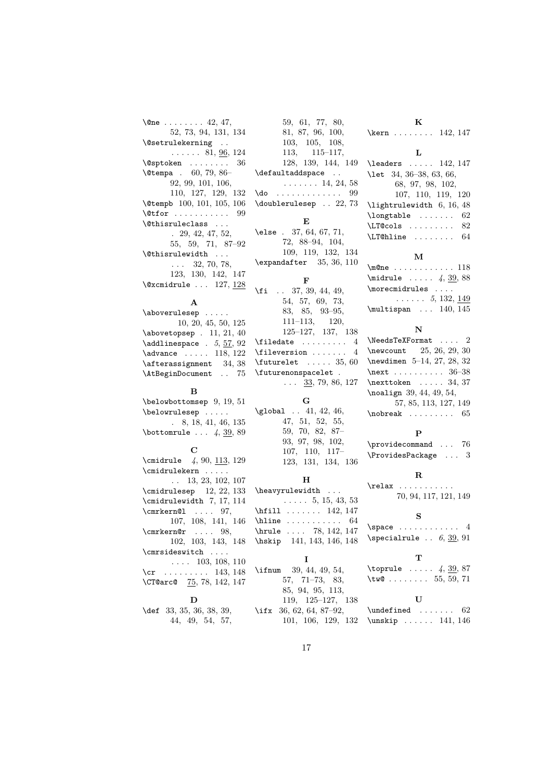| $\{\mathsf{One}\ \dots\ \dots\ 42,\ 47,\$ |
|-------------------------------------------|
| 52, 73, 94, 131, 134                      |
| \@setrulekerning                          |
| $\ldots$ $\ldots$ 81, 96, 124             |
| $\sqrt{e}$ sptoken  36                    |
| $\text{Vetempa}$ . 60, 79, 86-            |
| 92, 99, 101, 106,                         |
| 110, 127, 129, 132                        |
| \@tempb 100, 101, 105, 106                |
| $\text{Qtfor}$ 99                         |
| \@thisruleclass                           |
| $. \, 29, 42, 47, 52,$                    |
| 55, 59, 71, 87-92                         |
| \@thisrulewidth                           |
| $\ldots$ 32, 70, 78,                      |
| 123, 130, 142, 147                        |
| $\sqrt{Q}x$ cmidrule  127, 128            |

#### A

#### B

\belowbottomsep 9, 19, 51 \belowrulesep . . . . . . 8, 18, 41, 46, 135 \bottomrule  $\ldots$  4, 39, 89

#### $\mathbf C$

 $\text{cmidrule}$  4, 90, 113, 129 \cmidrulekern . . . . . . . 13, 23, 102, 107 \cmidrulesep 12, 22, 133 \cmidrulewidth 7, 17, 114 \cmrkern@1 .... 97, 107, 108, 141, 146  $\text{Cmrkern@r } ... 98,$ 102, 103, 143, 148 \cmrsideswitch ....  $\ldots$  103, 108, 110 \cr . . . . . . . . . 143, 148 \CT@arc@ 75, 78, 142, 147

#### D

\def 33, 35, 36, 38, 39, 44, 49, 54, 57,

| 59, 61, 77, 80,            |
|----------------------------|
| 81, 87, 96, 100,           |
| 103, 105, 108,             |
| $113, \quad 115-117,$      |
| 128, 139, 144, 149         |
| \defaultaddspace           |
| $\ldots \ldots 14, 24, 58$ |
| $\text{Ido}$ 99            |
| \doublerulesep  22,73      |
|                            |
| F,                         |
| \else $. 37, 64, 67, 71,$  |
| 72. 88–94. 104.            |

72, 88–94, 104, 109, 119, 132, 134 \expandafter 35, 36, 110 F

\fi . . 37, 39, 44, 49, 54, 57, 69, 73, 83, 85, 93–95, 111–113, 120, 125–127, 137, 138  $\theta$ . . . . . . . . . . 4 \fileversion . . . . . . . 4  $\text{tuturelet} \dots$  35, 60 \futurenonspacelet .  $\ldots$  33, 79, 86, 127

## G

 $\label{eq:qlobal} \verb|\global |\ . 41, 42, 46,$ 47, 51, 52, 55, 59, 70, 82, 87– 93, 97, 98, 102, 107, 110, 117– 123, 131, 134, 136

# H \heavyrulewidth . . .

. . . . . 5, 15, 43, 53 \hfill ....... 142, 147 \hline . . . . . . . . . . 64 \hrule . . . . 78, 142, 147 \hskip 141, 143, 146, 148 I \ifnum 39, 44, 49, 54, 57, 71–73, 83, 85, 94, 95, 113, 119, 125–127, 138 \ifx 36, 62, 64, 87–92,

101, 106, 129, 132

K \kern . . . . . . . . 142, 147

#### L

\leaders . . . . . 142, 147 \let 34, 36–38, 63, 66, 68, 97, 98, 102, 107, 110, 119, 120 \lightrulewidth 6, 16, 48  $\lambda$ longtable ....... 62 \LT@cols . . . . . . . . . 82 \LT@hline . . . . . . . . 64

#### M

\m@ne . . . . . . . . . . . . 118 \midrule ..... 4, 39, 88 \morecmidrules . . . .  $\ldots \ldots 5, 132, 149$ \multispan ... 140, 145

#### N

\NeedsTeXFormat . . . . 2 \newcount 25, 26, 29, 30 \newdimen 5–14, 27, 28, 32 \next . . . . . . . . . . 36–38  $\n\text{texttoken} \dots 34, 37$ \noalign 39, 44, 49, 54, 57, 85, 113, 127, 149  $\hbox{\scriptsize\textsf{nobreak}}$  ........ 65

#### P

\providecommand ... 76 \ProvidesPackage . . . 3

### R

\relax . . . . . . . . . . . 70, 94, 117, 121, 149 S

\space . . . . . . . . . . . . 4  $\simeq$  .. 6, 39, 91

### T<sup>1</sup>

\toprule  $... 4, 39, 87$  $\text{true} \dots \dots \quad 55, 59, 71$ 

|                         | ΤJ |  |  |  |
|-------------------------|----|--|--|--|
| $\lvert$ \undefined  62 |    |  |  |  |
| $\unskip 1.141, 146$    |    |  |  |  |